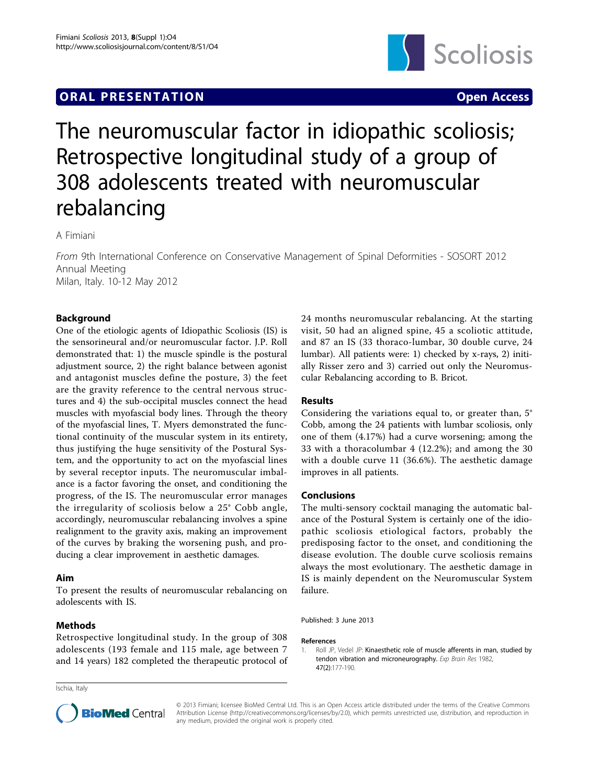# **ORAL PRESENTATION CONSUMING ACCESS**



# The neuromuscular factor in idiopathic scoliosis; Retrospective longitudinal study of a group of 308 adolescents treated with neuromuscular rebalancing

A Fimiani

From 9th International Conference on Conservative Management of Spinal Deformities - SOSORT 2012 Annual Meeting Milan, Italy. 10-12 May 2012

## Background

One of the etiologic agents of Idiopathic Scoliosis (IS) is the sensorineural and/or neuromuscular factor. J.P. Roll demonstrated that: 1) the muscle spindle is the postural adjustment source, 2) the right balance between agonist and antagonist muscles define the posture, 3) the feet are the gravity reference to the central nervous structures and 4) the sub-occipital muscles connect the head muscles with myofascial body lines. Through the theory of the myofascial lines, T. Myers demonstrated the functional continuity of the muscular system in its entirety, thus justifying the huge sensitivity of the Postural System, and the opportunity to act on the myofascial lines by several receptor inputs. The neuromuscular imbalance is a factor favoring the onset, and conditioning the progress, of the IS. The neuromuscular error manages the irregularity of scoliosis below a 25° Cobb angle, accordingly, neuromuscular rebalancing involves a spine realignment to the gravity axis, making an improvement of the curves by braking the worsening push, and producing a clear improvement in aesthetic damages.

### Aim

To present the results of neuromuscular rebalancing on adolescents with IS.

#### **Methods**

Retrospective longitudinal study. In the group of 308 adolescents (193 female and 115 male, age between 7 and 14 years) 182 completed the therapeutic protocol of

Ischia, Italy

24 months neuromuscular rebalancing. At the starting visit, 50 had an aligned spine, 45 a scoliotic attitude, and 87 an IS (33 thoraco-lumbar, 30 double curve, 24 lumbar). All patients were: 1) checked by x-rays, 2) initially Risser zero and 3) carried out only the Neuromuscular Rebalancing according to B. Bricot.

#### Results

Considering the variations equal to, or greater than, 5° Cobb, among the 24 patients with lumbar scoliosis, only one of them (4.17%) had a curve worsening; among the 33 with a thoracolumbar 4 (12.2%); and among the 30 with a double curve 11 (36.6%). The aesthetic damage improves in all patients.

#### Conclusions

The multi-sensory cocktail managing the automatic balance of the Postural System is certainly one of the idiopathic scoliosis etiological factors, probably the predisposing factor to the onset, and conditioning the disease evolution. The double curve scoliosis remains always the most evolutionary. The aesthetic damage in IS is mainly dependent on the Neuromuscular System failure.

Published: 3 June 2013

#### References

1. Roll JP, Vedel JP: [Kinaesthetic role of muscle afferents in man, studied by](http://www.ncbi.nlm.nih.gov/pubmed/6214420?dopt=Abstract) [tendon vibration and microneurography.](http://www.ncbi.nlm.nih.gov/pubmed/6214420?dopt=Abstract) Exp Brain Res 1982, 47(2):177-190.



© 2013 Fimiani; licensee BioMed Central Ltd. This is an Open Access article distributed under the terms of the Creative Commons Attribution License [\(http://creativecommons.org/licenses/by/2.0](http://creativecommons.org/licenses/by/2.0)), which permits unrestricted use, distribution, and reproduction in any medium, provided the original work is properly cited.